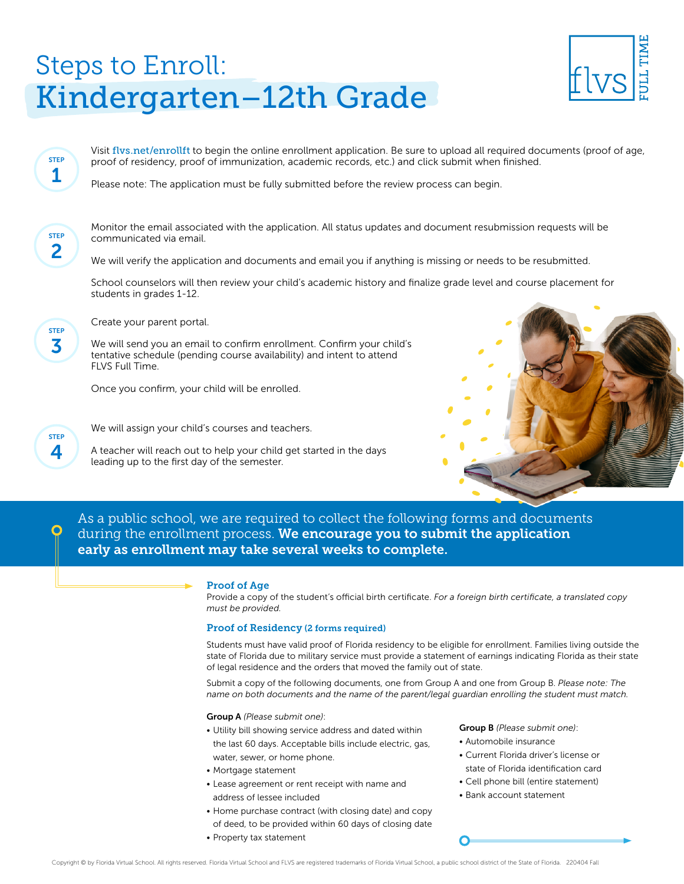# Steps to Enroll: Kindergarten–12th Grade



Visit flys.net/enrollft to begin the online enrollment application. Be sure to upload all reguired documents (proof of age, proof of residency, proof of immunization, academic records, etc.) and click submit when finished.

Please note: The application must be fully submitted before the review process can begin.

STEP 2

STEP 1

> Monitor the email associated with the application. All status updates and document resubmission requests will be communicated via email.

We will verify the application and documents and email you if anything is missing or needs to be resubmitted.

School counselors will then review your child's academic history and finalize grade level and course placement for students in grades 1-12.

STEP 3

Create your parent portal.

We will send you an email to confirm enrollment. Confirm your child's tentative schedule (pending course availability) and intent to attend FLVS Full Time.

Once you confirm, your child will be enrolled.

STEP 4

We will assign your child's courses and teachers.

A teacher will reach out to help your child get started in the days leading up to the first day of the semester.



As a public school, we are required to collect the following forms and documents during the enrollment process. We encourage you to submit the application early as enrollment may take several weeks to complete.

#### Proof of Age

Provide a copy of the student's official birth certificate. *For a foreign birth certificate, a translated copy must be provided.* 

#### Proof of Residency (2 forms required)

Students must have valid proof of Florida residency to be eligible for enrollment. Families living outside the state of Florida due to military service must provide a statement of earnings indicating Florida as their state of legal residence and the orders that moved the family out of state.

Submit a copy of the following documents, one from Group A and one from Group B. *Please note: The name on both documents and the name of the parent/legal guardian enrolling the student must match.*

Group A *(Please submit one)*:

- Utility bill showing service address and dated within the last 60 days. Acceptable bills include electric, gas, water, sewer, or home phone.
- Mortgage statement
- Lease agreement or rent receipt with name and address of lessee included
- Home purchase contract (with closing date) and copy of deed, to be provided within 60 days of closing date
- Property tax statement

Group B *(Please submit one)*:

- Automobile insurance
- Current Florida driver's license or state of Florida identification card
- Cell phone bill (entire statement)
- Bank account statement

∩